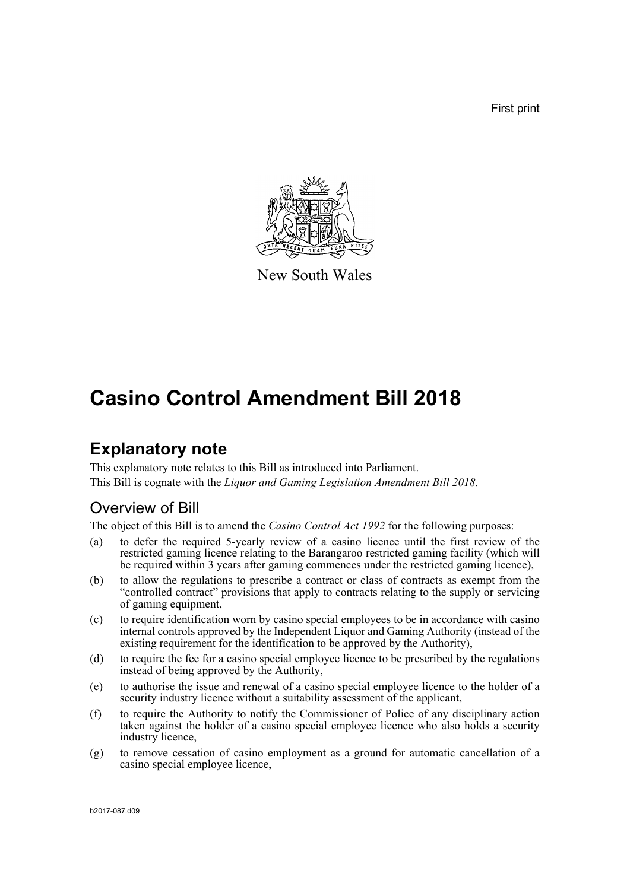First print



New South Wales

# **Casino Control Amendment Bill 2018**

# **Explanatory note**

This explanatory note relates to this Bill as introduced into Parliament. This Bill is cognate with the *Liquor and Gaming Legislation Amendment Bill 2018*.

# Overview of Bill

The object of this Bill is to amend the *Casino Control Act 1992* for the following purposes:

- (a) to defer the required 5-yearly review of a casino licence until the first review of the restricted gaming licence relating to the Barangaroo restricted gaming facility (which will be required within 3 years after gaming commences under the restricted gaming licence),
- (b) to allow the regulations to prescribe a contract or class of contracts as exempt from the "controlled contract" provisions that apply to contracts relating to the supply or servicing of gaming equipment,
- (c) to require identification worn by casino special employees to be in accordance with casino internal controls approved by the Independent Liquor and Gaming Authority (instead of the existing requirement for the identification to be approved by the Authority),
- (d) to require the fee for a casino special employee licence to be prescribed by the regulations instead of being approved by the Authority,
- (e) to authorise the issue and renewal of a casino special employee licence to the holder of a security industry licence without a suitability assessment of the applicant,
- (f) to require the Authority to notify the Commissioner of Police of any disciplinary action taken against the holder of a casino special employee licence who also holds a security industry licence,
- (g) to remove cessation of casino employment as a ground for automatic cancellation of a casino special employee licence,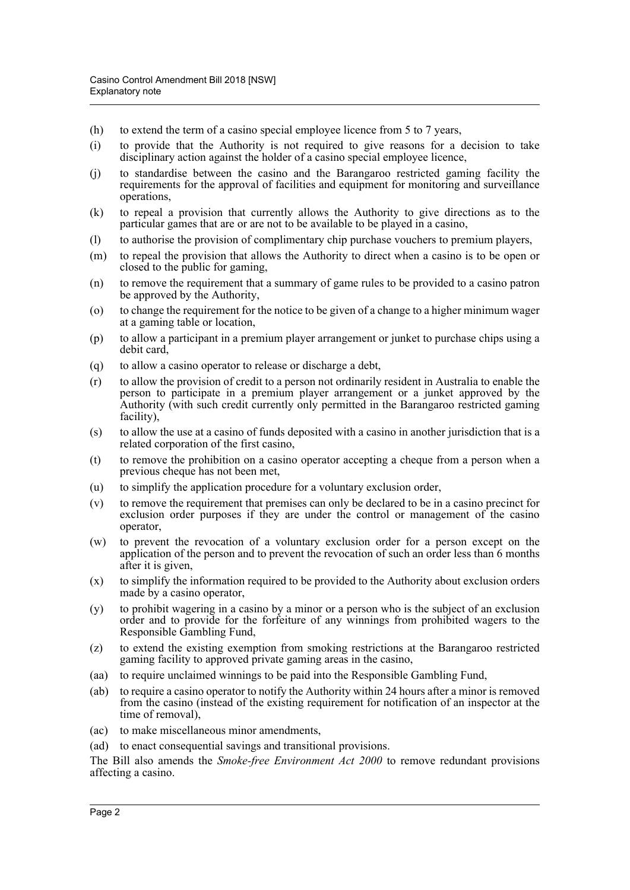- (h) to extend the term of a casino special employee licence from 5 to 7 years,
- (i) to provide that the Authority is not required to give reasons for a decision to take disciplinary action against the holder of a casino special employee licence,
- (j) to standardise between the casino and the Barangaroo restricted gaming facility the requirements for the approval of facilities and equipment for monitoring and surveillance operations,
- (k) to repeal a provision that currently allows the Authority to give directions as to the particular games that are or are not to be available to be played in a casino,
- (l) to authorise the provision of complimentary chip purchase vouchers to premium players,
- (m) to repeal the provision that allows the Authority to direct when a casino is to be open or closed to the public for gaming,
- (n) to remove the requirement that a summary of game rules to be provided to a casino patron be approved by the Authority,
- (o) to change the requirement for the notice to be given of a change to a higher minimum wager at a gaming table or location,
- (p) to allow a participant in a premium player arrangement or junket to purchase chips using a debit card,
- (q) to allow a casino operator to release or discharge a debt,
- (r) to allow the provision of credit to a person not ordinarily resident in Australia to enable the person to participate in a premium player arrangement or a junket approved by the Authority (with such credit currently only permitted in the Barangaroo restricted gaming facility),
- (s) to allow the use at a casino of funds deposited with a casino in another jurisdiction that is a related corporation of the first casino,
- (t) to remove the prohibition on a casino operator accepting a cheque from a person when a previous cheque has not been met,
- (u) to simplify the application procedure for a voluntary exclusion order,
- (v) to remove the requirement that premises can only be declared to be in a casino precinct for exclusion order purposes if they are under the control or management of the casino operator,
- (w) to prevent the revocation of a voluntary exclusion order for a person except on the application of the person and to prevent the revocation of such an order less than 6 months after it is given,
- $(x)$  to simplify the information required to be provided to the Authority about exclusion orders made by a casino operator,
- (y) to prohibit wagering in a casino by a minor or a person who is the subject of an exclusion order and to provide for the forfeiture of any winnings from prohibited wagers to the Responsible Gambling Fund,
- (z) to extend the existing exemption from smoking restrictions at the Barangaroo restricted gaming facility to approved private gaming areas in the casino,
- (aa) to require unclaimed winnings to be paid into the Responsible Gambling Fund,
- (ab) to require a casino operator to notify the Authority within 24 hours after a minor is removed from the casino (instead of the existing requirement for notification of an inspector at the time of removal),
- (ac) to make miscellaneous minor amendments,
- (ad) to enact consequential savings and transitional provisions.

The Bill also amends the *Smoke-free Environment Act 2000* to remove redundant provisions affecting a casino.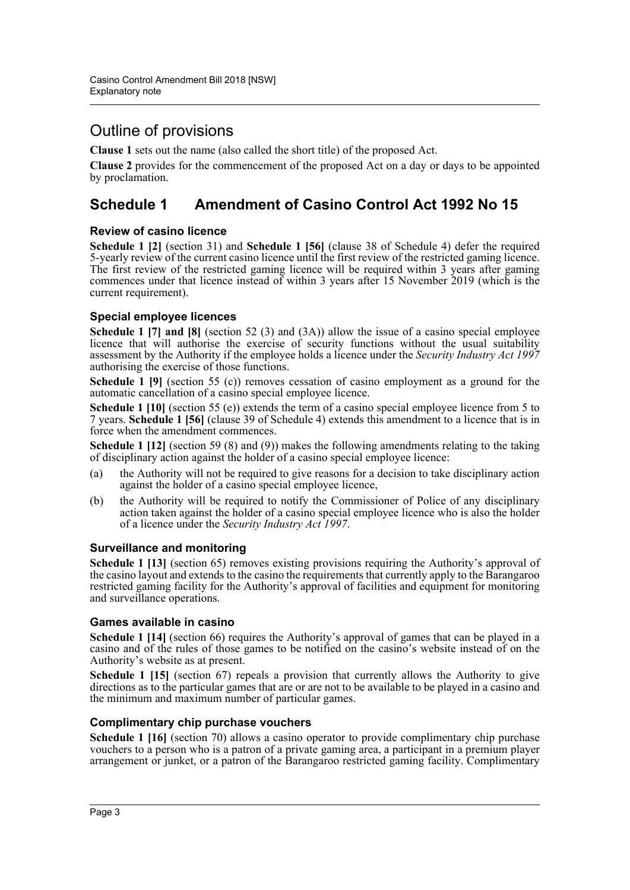# Outline of provisions

**Clause 1** sets out the name (also called the short title) of the proposed Act.

**Clause 2** provides for the commencement of the proposed Act on a day or days to be appointed by proclamation.

# **Schedule 1 Amendment of Casino Control Act 1992 No 15**

## **Review of casino licence**

**Schedule 1 [2]** (section 31) and **Schedule 1 [56]** (clause 38 of Schedule 4) defer the required 5-yearly review of the current casino licence until the first review of the restricted gaming licence. The first review of the restricted gaming licence will be required within 3 years after gaming commences under that licence instead of within 3 years after 15 November 2019 (which is the current requirement).

## **Special employee licences**

**Schedule 1 [7] and [8]** (section 52 (3) and (3A)) allow the issue of a casino special employee licence that will authorise the exercise of security functions without the usual suitability assessment by the Authority if the employee holds a licence under the *Security Industry Act 1997* authorising the exercise of those functions.

**Schedule 1 [9]** (section 55 (c)) removes cessation of casino employment as a ground for the automatic cancellation of a casino special employee licence.

**Schedule 1 [10]** (section 55 (e)) extends the term of a casino special employee licence from 5 to 7 years. **Schedule 1 [56]** (clause 39 of Schedule 4) extends this amendment to a licence that is in force when the amendment commences.

**Schedule 1 [12]** (section 59 (8) and (9)) makes the following amendments relating to the taking of disciplinary action against the holder of a casino special employee licence:

- (a) the Authority will not be required to give reasons for a decision to take disciplinary action against the holder of a casino special employee licence,
- (b) the Authority will be required to notify the Commissioner of Police of any disciplinary action taken against the holder of a casino special employee licence who is also the holder of a licence under the *Security Industry Act 1997*.

# **Surveillance and monitoring**

**Schedule 1 [13]** (section 65) removes existing provisions requiring the Authority's approval of the casino layout and extends to the casino the requirements that currently apply to the Barangaroo restricted gaming facility for the Authority's approval of facilities and equipment for monitoring and surveillance operations.

### **Games available in casino**

**Schedule 1 [14]** (section 66) requires the Authority's approval of games that can be played in a casino and of the rules of those games to be notified on the casino's website instead of on the Authority's website as at present.

**Schedule 1 [15]** (section 67) repeals a provision that currently allows the Authority to give directions as to the particular games that are or are not to be available to be played in a casino and the minimum and maximum number of particular games.

### **Complimentary chip purchase vouchers**

**Schedule 1 [16]** (section 70) allows a casino operator to provide complimentary chip purchase vouchers to a person who is a patron of a private gaming area, a participant in a premium player arrangement or junket, or a patron of the Barangaroo restricted gaming facility. Complimentary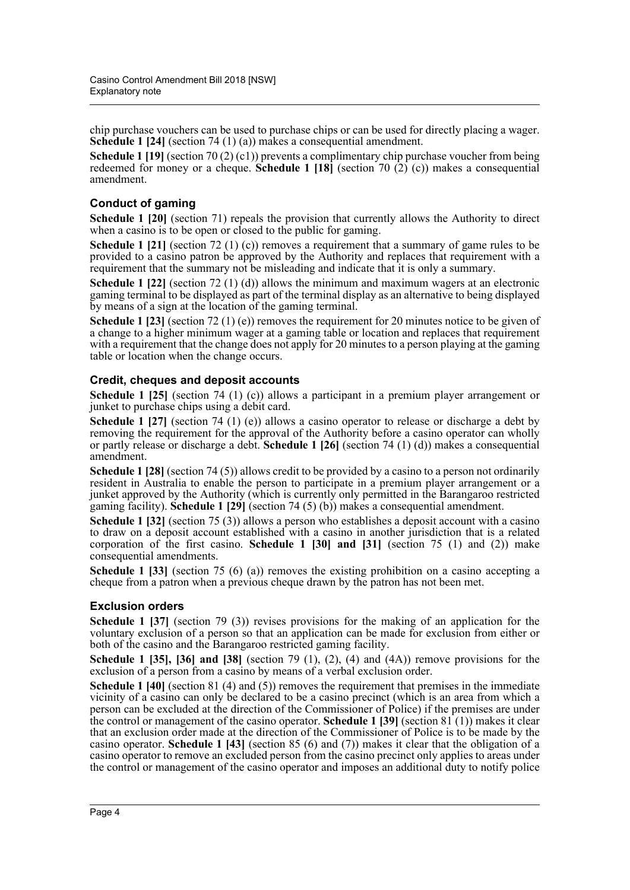chip purchase vouchers can be used to purchase chips or can be used for directly placing a wager. **Schedule 1 [24]** (section 74 (1) (a)) makes a consequential amendment.

**Schedule 1 [19]** (section 70 (2) (c1)) prevents a complimentary chip purchase voucher from being redeemed for money or a cheque. **Schedule 1 [18]** (section 70 (2) (c)) makes a consequential amendment.

# **Conduct of gaming**

**Schedule 1 [20]** (section 71) repeals the provision that currently allows the Authority to direct when a casino is to be open or closed to the public for gaming.

**Schedule 1 [21]** (section 72 (1) (c)) removes a requirement that a summary of game rules to be provided to a casino patron be approved by the Authority and replaces that requirement with a requirement that the summary not be misleading and indicate that it is only a summary.

**Schedule 1 [22]** (section 72 (1) (d)) allows the minimum and maximum wagers at an electronic gaming terminal to be displayed as part of the terminal display as an alternative to being displayed by means of a sign at the location of the gaming terminal.

**Schedule 1 [23]** (section 72 (1) (e)) removes the requirement for 20 minutes notice to be given of a change to a higher minimum wager at a gaming table or location and replaces that requirement with a requirement that the change does not apply for 20 minutes to a person playing at the gaming table or location when the change occurs.

## **Credit, cheques and deposit accounts**

**Schedule 1 [25]** (section 74 (1) (c)) allows a participant in a premium player arrangement or junket to purchase chips using a debit card.

**Schedule 1 [27]** (section 74 (1) (e)) allows a casino operator to release or discharge a debt by removing the requirement for the approval of the Authority before a casino operator can wholly or partly release or discharge a debt. **Schedule 1 [26]** (section 74 (1) (d)) makes a consequential amendment.

**Schedule 1 [28]** (section 74 (5)) allows credit to be provided by a casino to a person not ordinarily resident in Australia to enable the person to participate in a premium player arrangement or a junket approved by the Authority (which is currently only permitted in the Barangaroo restricted gaming facility). **Schedule 1 [29]** (section 74 (5) (b)) makes a consequential amendment.

**Schedule 1 [32]** (section 75 (3)) allows a person who establishes a deposit account with a casino to draw on a deposit account established with a casino in another jurisdiction that is a related corporation of the first casino. **Schedule 1 [30] and [31]** (section 75 (1) and (2)) make consequential amendments.

**Schedule 1 [33]** (section 75 (6) (a)) removes the existing prohibition on a casino accepting a cheque from a patron when a previous cheque drawn by the patron has not been met.

### **Exclusion orders**

**Schedule 1 [37]** (section 79 (3)) revises provisions for the making of an application for the voluntary exclusion of a person so that an application can be made for exclusion from either or both of the casino and the Barangaroo restricted gaming facility.

**Schedule 1 [35], [36] and [38]** (section 79 (1), (2), (4) and (4A)) remove provisions for the exclusion of a person from a casino by means of a verbal exclusion order.

**Schedule 1 [40]** (section 81 (4) and (5)) removes the requirement that premises in the immediate vicinity of a casino can only be declared to be a casino precinct (which is an area from which a person can be excluded at the direction of the Commissioner of Police) if the premises are under the control or management of the casino operator. **Schedule 1 [39]** (section  $81(1)$ ) makes it clear that an exclusion order made at the direction of the Commissioner of Police is to be made by the casino operator. **Schedule 1 [43]** (section 85 (6) and (7)) makes it clear that the obligation of a casino operator to remove an excluded person from the casino precinct only applies to areas under the control or management of the casino operator and imposes an additional duty to notify police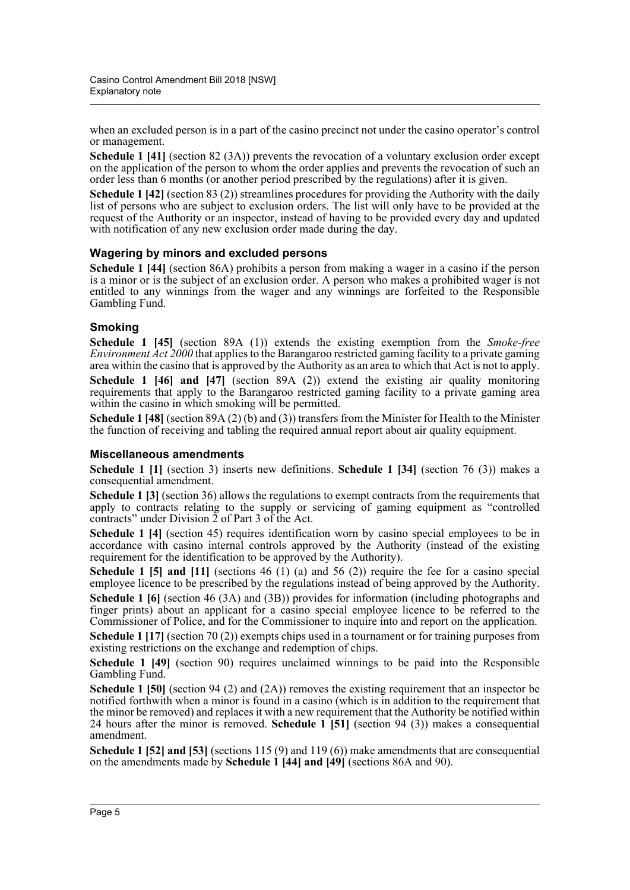when an excluded person is in a part of the casino precinct not under the casino operator's control or management.

**Schedule 1 [41]** (section 82 (3A)) prevents the revocation of a voluntary exclusion order except on the application of the person to whom the order applies and prevents the revocation of such an order less than 6 months (or another period prescribed by the regulations) after it is given.

**Schedule 1 [42]** (section 83 (2)) streamlines procedures for providing the Authority with the daily list of persons who are subject to exclusion orders. The list will only have to be provided at the request of the Authority or an inspector, instead of having to be provided every day and updated with notification of any new exclusion order made during the day.

### **Wagering by minors and excluded persons**

**Schedule 1 [44]** (section 86A) prohibits a person from making a wager in a casino if the person is a minor or is the subject of an exclusion order. A person who makes a prohibited wager is not entitled to any winnings from the wager and any winnings are forfeited to the Responsible Gambling Fund.

### **Smoking**

**Schedule 1 [45]** (section 89A (1)) extends the existing exemption from the *Smoke-free Environment Act 2000* that applies to the Barangaroo restricted gaming facility to a private gaming area within the casino that is approved by the Authority as an area to which that Act is not to apply.

**Schedule 1 [46] and [47]** (section 89A (2)) extend the existing air quality monitoring requirements that apply to the Barangaroo restricted gaming facility to a private gaming area within the casino in which smoking will be permitted.

**Schedule 1 [48]** (section 89A (2) (b) and (3)) transfers from the Minister for Health to the Minister the function of receiving and tabling the required annual report about air quality equipment.

### **Miscellaneous amendments**

**Schedule 1 [1]** (section 3) inserts new definitions. **Schedule 1 [34]** (section 76 (3)) makes a consequential amendment.

**Schedule 1 [3]** (section 36) allows the regulations to exempt contracts from the requirements that apply to contracts relating to the supply or servicing of gaming equipment as "controlled contracts" under Division 2 of Part 3 of the Act.

**Schedule 1 [4]** (section 45) requires identification worn by casino special employees to be in accordance with casino internal controls approved by the Authority (instead of the existing requirement for the identification to be approved by the Authority).

**Schedule 1 [5] and [11]** (sections 46 (1) (a) and 56 (2)) require the fee for a casino special employee licence to be prescribed by the regulations instead of being approved by the Authority.

**Schedule 1 [6]** (section 46 (3A) and (3B)) provides for information (including photographs and finger prints) about an applicant for a casino special employee licence to be referred to the Commissioner of Police, and for the Commissioner to inquire into and report on the application.

**Schedule 1 [17]** (section 70 (2)) exempts chips used in a tournament or for training purposes from existing restrictions on the exchange and redemption of chips.

**Schedule 1 [49]** (section 90) requires unclaimed winnings to be paid into the Responsible Gambling Fund.

**Schedule 1 [50]** (section 94 (2) and (2A)) removes the existing requirement that an inspector be notified forthwith when a minor is found in a casino (which is in addition to the requirement that the minor be removed) and replaces it with a new requirement that the Authority be notified within 24 hours after the minor is removed. **Schedule 1 [51]** (section 94 (3)) makes a consequential amendment.

**Schedule 1 [52] and [53]** (sections 115 (9) and 119 (6)) make amendments that are consequential on the amendments made by **Schedule 1 [44] and [49]** (sections 86A and 90).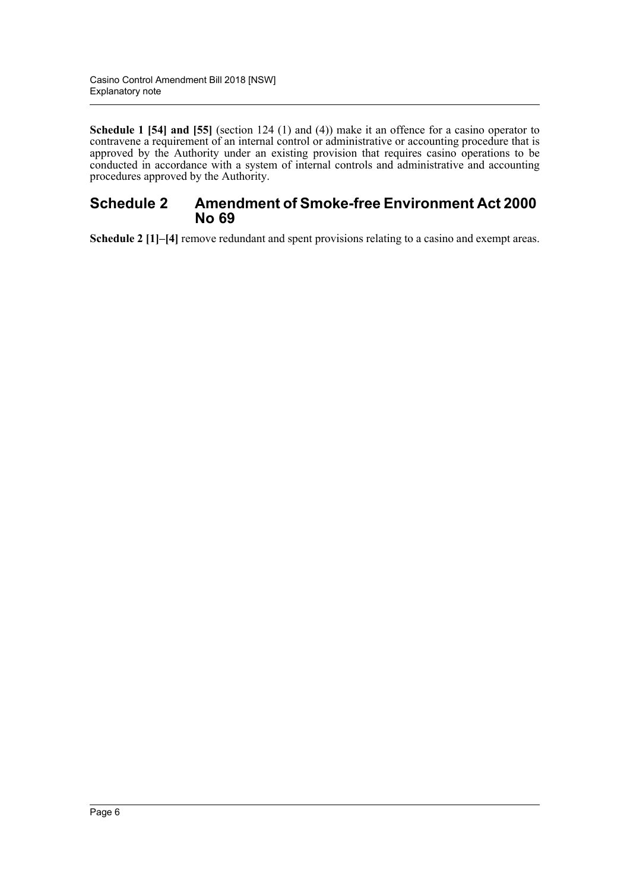**Schedule 1 [54] and [55]** (section 124 (1) and (4)) make it an offence for a casino operator to contravene a requirement of an internal control or administrative or accounting procedure that is approved by the Authority under an existing provision that requires casino operations to be conducted in accordance with a system of internal controls and administrative and accounting procedures approved by the Authority.

# **Schedule 2 Amendment of Smoke-free Environment Act 2000 No 69**

**Schedule 2 [1]–[4]** remove redundant and spent provisions relating to a casino and exempt areas.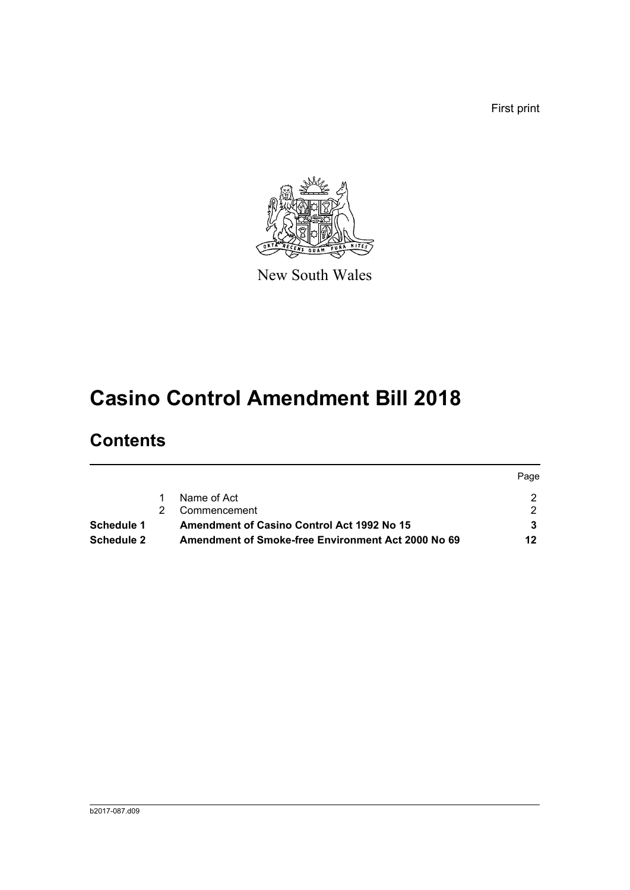First print



New South Wales

# **Casino Control Amendment Bill 2018**

# **Contents**

|                   |                                                           | Page |
|-------------------|-----------------------------------------------------------|------|
|                   | Name of Act                                               |      |
|                   | Commencement                                              |      |
| Schedule 1        | <b>Amendment of Casino Control Act 1992 No 15</b>         |      |
| <b>Schedule 2</b> | <b>Amendment of Smoke-free Environment Act 2000 No 69</b> | 12   |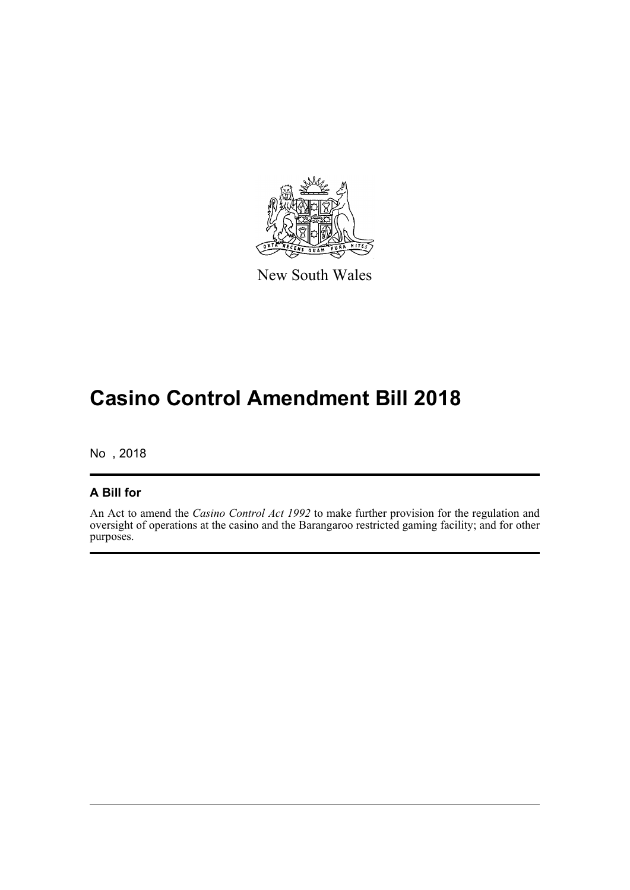

New South Wales

# **Casino Control Amendment Bill 2018**

No , 2018

# **A Bill for**

An Act to amend the *Casino Control Act 1992* to make further provision for the regulation and oversight of operations at the casino and the Barangaroo restricted gaming facility; and for other purposes.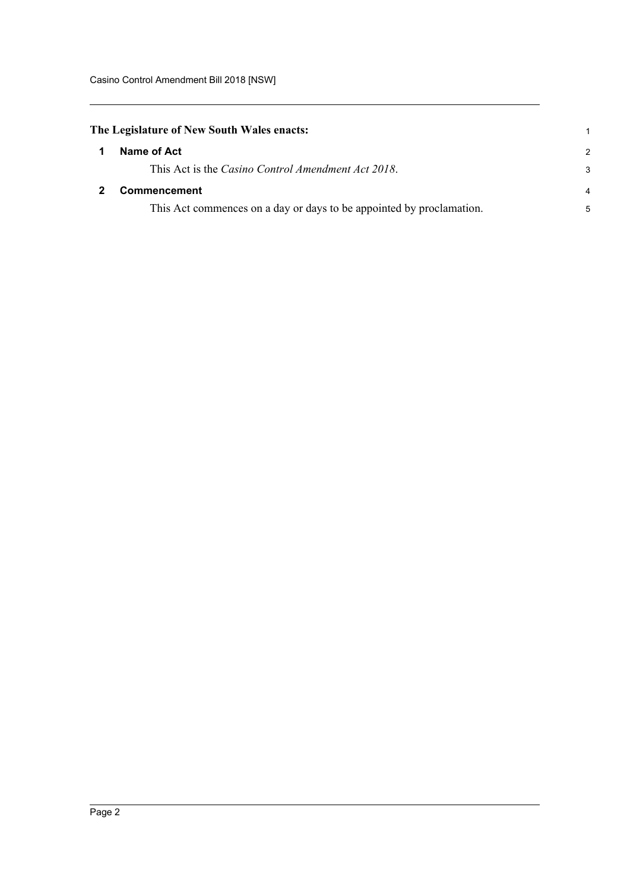<span id="page-8-1"></span><span id="page-8-0"></span>

| The Legislature of New South Wales enacts: |                                                                      |                |  |  |
|--------------------------------------------|----------------------------------------------------------------------|----------------|--|--|
|                                            | Name of Act                                                          | $\mathcal{P}$  |  |  |
|                                            | This Act is the Casino Control Amendment Act 2018.                   | 3              |  |  |
|                                            | <b>Commencement</b>                                                  | $\overline{4}$ |  |  |
|                                            | This Act commences on a day or days to be appointed by proclamation. | 5              |  |  |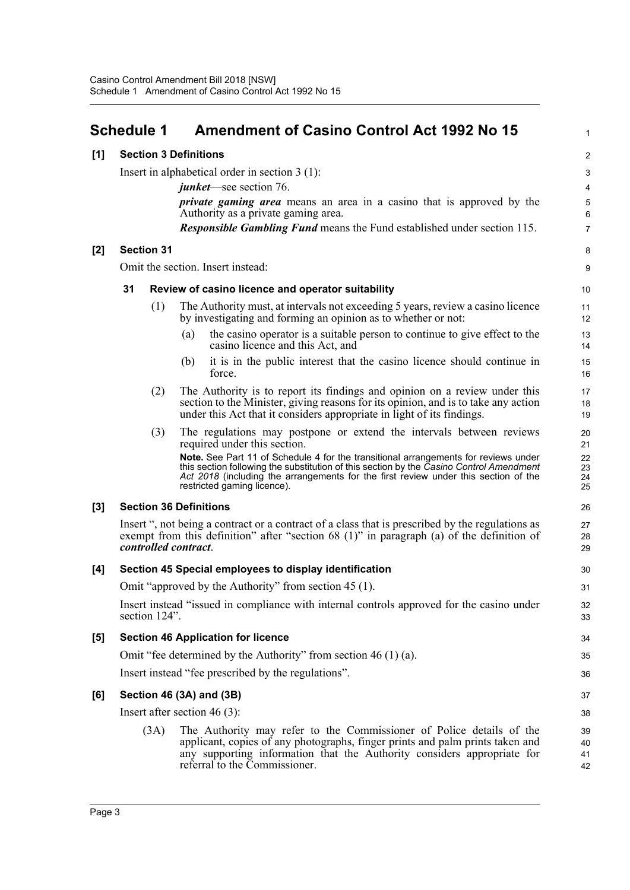# <span id="page-9-0"></span>**Schedule 1 Amendment of Casino Control Act 1992 No 15**

### **[1] Section 3 Definitions**

Insert in alphabetical order in section 3 (1):

*junket*—see section 76.

*private gaming area* means an area in a casino that is approved by the Authority as a private gaming area.

1

8 9

*Responsible Gambling Fund* means the Fund established under section 115.

### **[2] Section 31**

Omit the section. Insert instead:

### **31 Review of casino licence and operator suitability**

- (1) The Authority must, at intervals not exceeding 5 years, review a casino licence by investigating and forming an opinion as to whether or not:
	- (a) the casino operator is a suitable person to continue to give effect to the casino licence and this Act, and
	- (b) it is in the public interest that the casino licence should continue in force.
- (2) The Authority is to report its findings and opinion on a review under this section to the Minister, giving reasons for its opinion, and is to take any action under this Act that it considers appropriate in light of its findings.
- (3) The regulations may postpone or extend the intervals between reviews required under this section.

**Note.** See Part 11 of Schedule 4 for the transitional arrangements for reviews under this section following the substitution of this section by the *Casino Control Amendment Act 2018* (including the arrangements for the first review under this section of the restricted gaming licence).

### **[3] Section 36 Definitions**

Insert ", not being a contract or a contract of a class that is prescribed by the regulations as exempt from this definition" after "section 68 (1)" in paragraph (a) of the definition of *controlled contract*.

#### **[4] Section 45 Special employees to display identification** Omit "approved by the Authority" from section 45 (1). Insert instead "issued in compliance with internal controls approved for the casino under section 124". **[5] Section 46 Application for licence** Omit "fee determined by the Authority" from section 46 (1) (a). Insert instead "fee prescribed by the regulations". 30 31 32 33 34 35 36

### **[6] Section 46 (3A) and (3B)**

Insert after section 46 (3):

(3A) The Authority may refer to the Commissioner of Police details of the applicant, copies of any photographs, finger prints and palm prints taken and any supporting information that the Authority considers appropriate for referral to the Commissioner.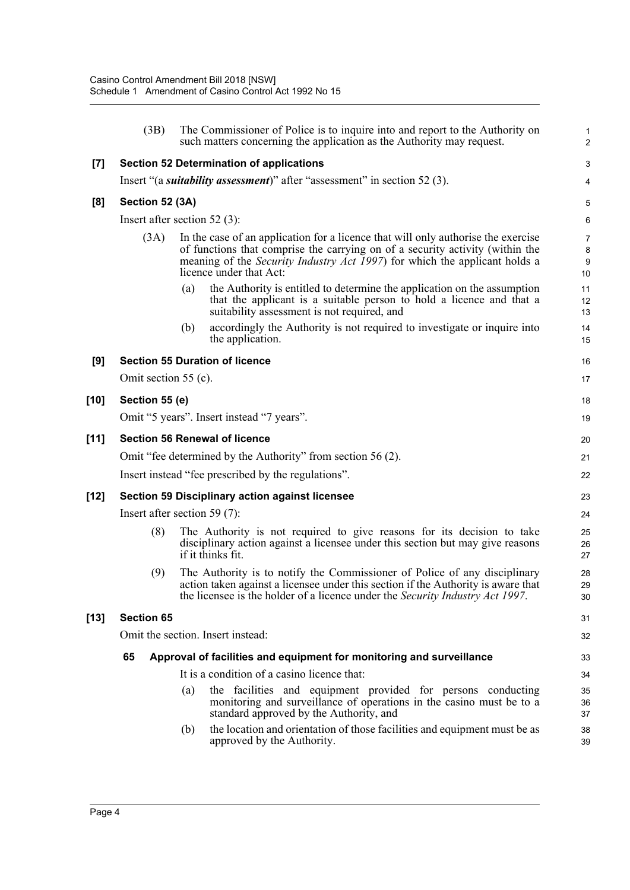|        | (3B)                            |     | The Commissioner of Police is to inquire into and report to the Authority on<br>such matters concerning the application as the Authority may request.                                                                                                                               | $\mathbf{1}$<br>$\overline{2}$   |
|--------|---------------------------------|-----|-------------------------------------------------------------------------------------------------------------------------------------------------------------------------------------------------------------------------------------------------------------------------------------|----------------------------------|
| $[7]$  |                                 |     | <b>Section 52 Determination of applications</b>                                                                                                                                                                                                                                     | 3                                |
|        |                                 |     | Insert "(a <i>suitability assessment</i> )" after "assessment" in section 52 (3).                                                                                                                                                                                                   | 4                                |
| [8]    | Section 52 (3A)                 |     |                                                                                                                                                                                                                                                                                     | 5                                |
|        | Insert after section $52(3)$ :  |     |                                                                                                                                                                                                                                                                                     | $\,6\,$                          |
|        | (3A)                            |     | In the case of an application for a licence that will only authorise the exercise<br>of functions that comprise the carrying on of a security activity (within the<br>meaning of the <i>Security Industry Act 1997</i> ) for which the applicant holds a<br>licence under that Act: | 7<br>8<br>$\boldsymbol{9}$<br>10 |
|        |                                 | (a) | the Authority is entitled to determine the application on the assumption<br>that the applicant is a suitable person to hold a licence and that a<br>suitability assessment is not required, and                                                                                     | 11<br>12<br>13                   |
|        |                                 | (b) | accordingly the Authority is not required to investigate or inquire into<br>the application.                                                                                                                                                                                        | 14<br>15                         |
| [9]    |                                 |     | <b>Section 55 Duration of licence</b>                                                                                                                                                                                                                                               | 16                               |
|        | Omit section $55$ (c).          |     |                                                                                                                                                                                                                                                                                     | 17                               |
| [10]   | Section 55 (e)                  |     |                                                                                                                                                                                                                                                                                     | 18                               |
|        |                                 |     | Omit "5 years". Insert instead "7 years".                                                                                                                                                                                                                                           | 19                               |
| $[11]$ |                                 |     | <b>Section 56 Renewal of licence</b>                                                                                                                                                                                                                                                | 20                               |
|        |                                 |     | Omit "fee determined by the Authority" from section 56 (2).                                                                                                                                                                                                                         | 21                               |
|        |                                 |     | Insert instead "fee prescribed by the regulations".                                                                                                                                                                                                                                 | 22                               |
| [12]   |                                 |     | <b>Section 59 Disciplinary action against licensee</b>                                                                                                                                                                                                                              | 23                               |
|        | Insert after section 59 $(7)$ : |     |                                                                                                                                                                                                                                                                                     | 24                               |
|        | (8)                             |     | The Authority is not required to give reasons for its decision to take<br>disciplinary action against a licensee under this section but may give reasons<br>if it thinks fit.                                                                                                       | 25<br>26<br>27                   |
|        | (9)                             |     | The Authority is to notify the Commissioner of Police of any disciplinary<br>action taken against a licensee under this section if the Authority is aware that<br>the licensee is the holder of a licence under the Security Industry Act 1997.                                     | 28<br>29<br>30                   |
| [13]   | <b>Section 65</b>               |     |                                                                                                                                                                                                                                                                                     | 31                               |
|        |                                 |     | Omit the section. Insert instead:                                                                                                                                                                                                                                                   | 32                               |
|        | 65                              |     | Approval of facilities and equipment for monitoring and surveillance                                                                                                                                                                                                                | 33                               |
|        |                                 |     | It is a condition of a casino licence that:                                                                                                                                                                                                                                         | 34                               |
|        |                                 | (a) | the facilities and equipment provided for persons conducting<br>monitoring and surveillance of operations in the casino must be to a<br>standard approved by the Authority, and                                                                                                     | 35<br>36<br>37                   |
|        |                                 | (b) | the location and orientation of those facilities and equipment must be as<br>approved by the Authority.                                                                                                                                                                             | 38<br>39                         |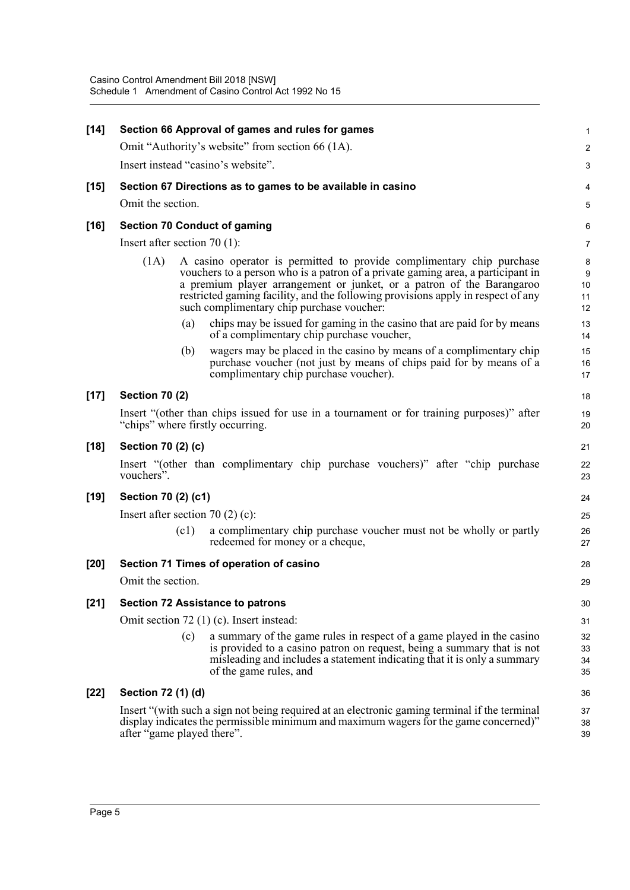| $[14]$ |                                       |      | Section 66 Approval of games and rules for games                                                                                                                                                                                                                                                                                                                   | $\mathbf{1}$                            |
|--------|---------------------------------------|------|--------------------------------------------------------------------------------------------------------------------------------------------------------------------------------------------------------------------------------------------------------------------------------------------------------------------------------------------------------------------|-----------------------------------------|
|        |                                       |      | Omit "Authority's website" from section 66 (1A).                                                                                                                                                                                                                                                                                                                   | $\overline{c}$                          |
|        |                                       |      | Insert instead "casino's website".                                                                                                                                                                                                                                                                                                                                 | 3                                       |
| $[15]$ |                                       |      | Section 67 Directions as to games to be available in casino                                                                                                                                                                                                                                                                                                        | 4                                       |
|        | Omit the section.                     |      |                                                                                                                                                                                                                                                                                                                                                                    | 5                                       |
| $[16]$ |                                       |      | <b>Section 70 Conduct of gaming</b>                                                                                                                                                                                                                                                                                                                                | 6                                       |
|        | Insert after section $70(1)$ :        |      |                                                                                                                                                                                                                                                                                                                                                                    | $\overline{7}$                          |
|        | (1A)                                  |      | A casino operator is permitted to provide complimentary chip purchase<br>vouchers to a person who is a patron of a private gaming area, a participant in<br>a premium player arrangement or junket, or a patron of the Barangaroo<br>restricted gaming facility, and the following provisions apply in respect of any<br>such complimentary chip purchase voucher: | 8<br>$\boldsymbol{9}$<br>10<br>11<br>12 |
|        |                                       | (a)  | chips may be issued for gaming in the casino that are paid for by means<br>of a complimentary chip purchase voucher,                                                                                                                                                                                                                                               | 13<br>14                                |
|        |                                       | (b)  | wagers may be placed in the casino by means of a complimentary chip<br>purchase voucher (not just by means of chips paid for by means of a<br>complimentary chip purchase voucher).                                                                                                                                                                                | 15<br>16<br>17                          |
| $[17]$ | <b>Section 70 (2)</b>                 |      |                                                                                                                                                                                                                                                                                                                                                                    | 18                                      |
|        |                                       |      | Insert "(other than chips issued for use in a tournament or for training purposes)" after<br>"chips" where firstly occurring.                                                                                                                                                                                                                                      | 19<br>20                                |
| $[18]$ | Section 70 (2) (c)                    |      |                                                                                                                                                                                                                                                                                                                                                                    | 21                                      |
|        | vouchers".                            |      | Insert "(other than complimentary chip purchase vouchers)" after "chip purchase                                                                                                                                                                                                                                                                                    | 22<br>23                                |
| [19]   | Section 70 (2) (c1)                   |      |                                                                                                                                                                                                                                                                                                                                                                    | 24                                      |
|        | Insert after section 70 $(2)$ $(c)$ : |      |                                                                                                                                                                                                                                                                                                                                                                    | 25                                      |
|        |                                       | (c1) | a complimentary chip purchase voucher must not be wholly or partly<br>redeemed for money or a cheque,                                                                                                                                                                                                                                                              | 26<br>27                                |
| $[20]$ |                                       |      | Section 71 Times of operation of casino                                                                                                                                                                                                                                                                                                                            | 28                                      |
|        | Omit the section.                     |      |                                                                                                                                                                                                                                                                                                                                                                    | 29                                      |
| $[21]$ |                                       |      | <b>Section 72 Assistance to patrons</b>                                                                                                                                                                                                                                                                                                                            | 30                                      |
|        |                                       |      | Omit section 72 (1) (c). Insert instead:                                                                                                                                                                                                                                                                                                                           | 31                                      |
|        |                                       | (c)  | a summary of the game rules in respect of a game played in the casino<br>is provided to a casino patron on request, being a summary that is not<br>misleading and includes a statement indicating that it is only a summary<br>of the game rules, and                                                                                                              | 32<br>33<br>34<br>35                    |
| $[22]$ | Section 72 (1) (d)                    |      |                                                                                                                                                                                                                                                                                                                                                                    | 36                                      |
|        | after "game played there".            |      | Insert "(with such a sign not being required at an electronic gaming terminal if the terminal<br>display indicates the permissible minimum and maximum wagers for the game concerned)"                                                                                                                                                                             | 37<br>38<br>39                          |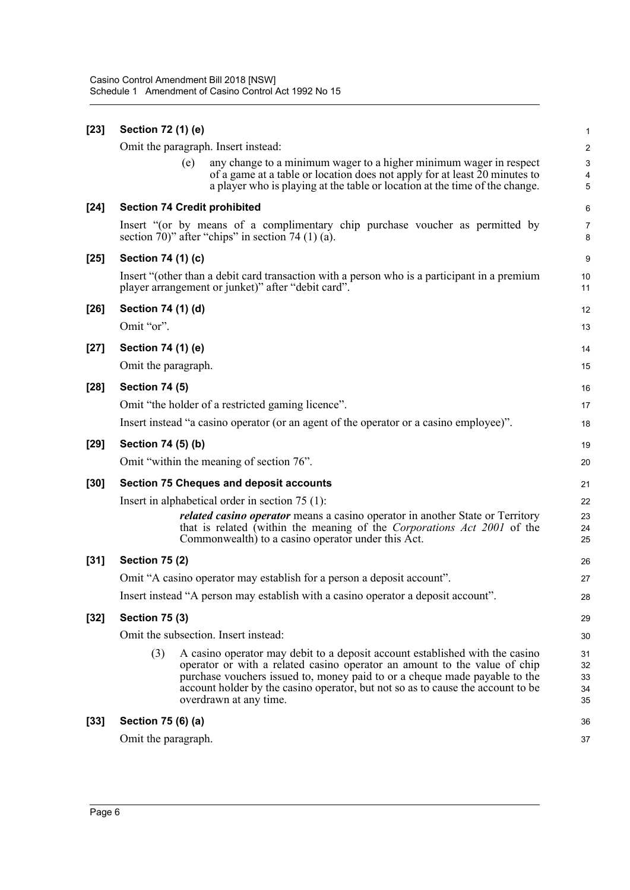| $[23]$ | Section 72 (1) (e)                  |                                                                                                                                                                                                                                                                                                                                                      | $\mathbf{1}$               |
|--------|-------------------------------------|------------------------------------------------------------------------------------------------------------------------------------------------------------------------------------------------------------------------------------------------------------------------------------------------------------------------------------------------------|----------------------------|
|        |                                     | Omit the paragraph. Insert instead:                                                                                                                                                                                                                                                                                                                  | $\boldsymbol{2}$           |
|        | (e)                                 | any change to a minimum wager to a higher minimum wager in respect<br>of a game at a table or location does not apply for at least 20 minutes to<br>a player who is playing at the table or location at the time of the change.                                                                                                                      | $\sqrt{3}$<br>4<br>5       |
| $[24]$ | <b>Section 74 Credit prohibited</b> |                                                                                                                                                                                                                                                                                                                                                      | 6                          |
|        |                                     | Insert "(or by means of a complimentary chip purchase voucher as permitted by<br>section 70)" after "chips" in section 74 $(1)$ $(a)$ .                                                                                                                                                                                                              | 7<br>8                     |
| $[25]$ | Section 74 (1) (c)                  |                                                                                                                                                                                                                                                                                                                                                      | $\boldsymbol{9}$           |
|        |                                     | Insert "(other than a debit card transaction with a person who is a participant in a premium<br>player arrangement or junket)" after "debit card".                                                                                                                                                                                                   | 10<br>11                   |
| $[26]$ | Section 74 (1) (d)                  |                                                                                                                                                                                                                                                                                                                                                      | 12                         |
|        | Omit "or".                          |                                                                                                                                                                                                                                                                                                                                                      | 13                         |
| $[27]$ | Section 74 (1) (e)                  |                                                                                                                                                                                                                                                                                                                                                      | 14                         |
|        | Omit the paragraph.                 |                                                                                                                                                                                                                                                                                                                                                      | 15                         |
| $[28]$ | <b>Section 74 (5)</b>               |                                                                                                                                                                                                                                                                                                                                                      | 16                         |
|        |                                     | Omit "the holder of a restricted gaming licence".                                                                                                                                                                                                                                                                                                    | 17                         |
|        |                                     | Insert instead "a casino operator (or an agent of the operator or a casino employee)".                                                                                                                                                                                                                                                               | 18                         |
| $[29]$ | Section 74 (5) (b)                  |                                                                                                                                                                                                                                                                                                                                                      | 19                         |
|        |                                     | Omit "within the meaning of section 76".                                                                                                                                                                                                                                                                                                             | 20                         |
| $[30]$ |                                     | <b>Section 75 Cheques and deposit accounts</b>                                                                                                                                                                                                                                                                                                       | 21                         |
|        |                                     | Insert in alphabetical order in section $75(1)$ :                                                                                                                                                                                                                                                                                                    | 22                         |
|        |                                     | <i>related casino operator</i> means a casino operator in another State or Territory<br>that is related (within the meaning of the Corporations Act 2001 of the<br>Commonwealth) to a casino operator under this Act.                                                                                                                                | 23<br>24<br>25             |
| $[31]$ | <b>Section 75 (2)</b>               |                                                                                                                                                                                                                                                                                                                                                      | 26                         |
|        |                                     | Omit "A casino operator may establish for a person a deposit account".                                                                                                                                                                                                                                                                               | 27                         |
|        |                                     | Insert instead "A person may establish with a casino operator a deposit account".                                                                                                                                                                                                                                                                    | 28                         |
| $[32]$ | <b>Section 75 (3)</b>               |                                                                                                                                                                                                                                                                                                                                                      | 29                         |
|        |                                     | Omit the subsection. Insert instead:                                                                                                                                                                                                                                                                                                                 | 30                         |
|        | (3)                                 | A casino operator may debit to a deposit account established with the casino<br>operator or with a related casino operator an amount to the value of chip<br>purchase vouchers issued to, money paid to or a cheque made payable to the<br>account holder by the casino operator, but not so as to cause the account to be<br>overdrawn at any time. | 31<br>32<br>33<br>34<br>35 |
| $[33]$ | Section 75 (6) (a)                  |                                                                                                                                                                                                                                                                                                                                                      | 36                         |
|        | Omit the paragraph.                 |                                                                                                                                                                                                                                                                                                                                                      | 37                         |
|        |                                     |                                                                                                                                                                                                                                                                                                                                                      |                            |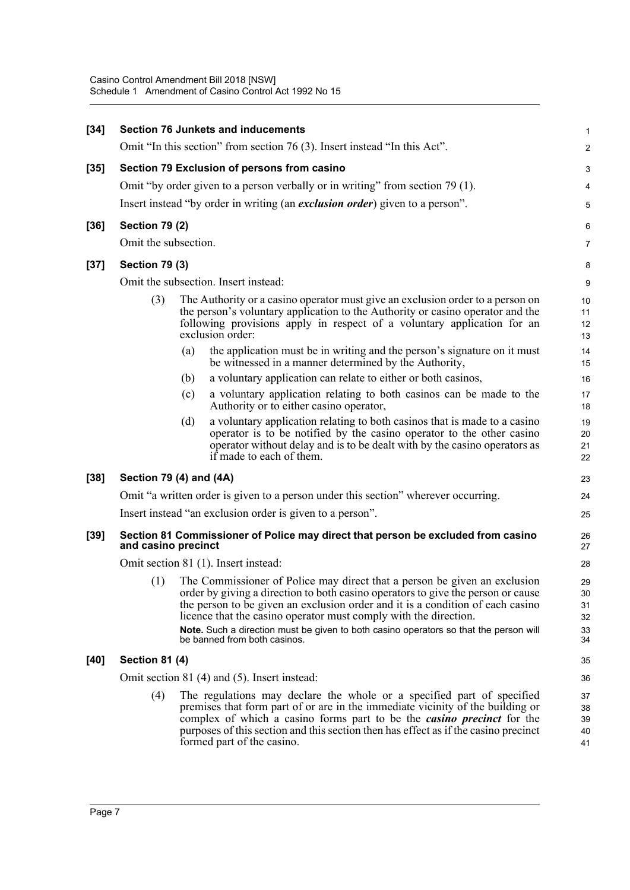| $[34]$ |                         |     | <b>Section 76 Junkets and inducements</b>                                                                                                                                                                                                                                                                                                                                                                                                    | $\mathbf{1}$                         |
|--------|-------------------------|-----|----------------------------------------------------------------------------------------------------------------------------------------------------------------------------------------------------------------------------------------------------------------------------------------------------------------------------------------------------------------------------------------------------------------------------------------------|--------------------------------------|
|        |                         |     | Omit "In this section" from section 76 (3). Insert instead "In this Act".                                                                                                                                                                                                                                                                                                                                                                    | 2                                    |
| $[35]$ |                         |     | Section 79 Exclusion of persons from casino                                                                                                                                                                                                                                                                                                                                                                                                  | 3                                    |
|        |                         |     | Omit "by order given to a person verbally or in writing" from section 79 (1).                                                                                                                                                                                                                                                                                                                                                                | 4                                    |
|        |                         |     | Insert instead "by order in writing (an <i>exclusion order</i> ) given to a person".                                                                                                                                                                                                                                                                                                                                                         | 5                                    |
| $[36]$ | <b>Section 79 (2)</b>   |     |                                                                                                                                                                                                                                                                                                                                                                                                                                              | 6                                    |
|        | Omit the subsection.    |     |                                                                                                                                                                                                                                                                                                                                                                                                                                              | 7                                    |
| $[37]$ | <b>Section 79 (3)</b>   |     |                                                                                                                                                                                                                                                                                                                                                                                                                                              | 8                                    |
|        |                         |     | Omit the subsection. Insert instead:                                                                                                                                                                                                                                                                                                                                                                                                         | 9                                    |
|        | (3)                     |     | The Authority or a casino operator must give an exclusion order to a person on<br>the person's voluntary application to the Authority or casino operator and the<br>following provisions apply in respect of a voluntary application for an<br>exclusion order:                                                                                                                                                                              | 10<br>11<br>12<br>13                 |
|        |                         | (a) | the application must be in writing and the person's signature on it must<br>be witnessed in a manner determined by the Authority,                                                                                                                                                                                                                                                                                                            | 14<br>15                             |
|        |                         | (b) | a voluntary application can relate to either or both casinos,                                                                                                                                                                                                                                                                                                                                                                                | 16                                   |
|        |                         | (c) | a voluntary application relating to both casinos can be made to the<br>Authority or to either casino operator,                                                                                                                                                                                                                                                                                                                               | 17<br>18                             |
|        |                         | (d) | a voluntary application relating to both casinos that is made to a casino<br>operator is to be notified by the casino operator to the other casino<br>operator without delay and is to be dealt with by the casino operators as<br>if made to each of them.                                                                                                                                                                                  | 19<br>20<br>21<br>22                 |
| $[38]$ | Section 79 (4) and (4A) |     |                                                                                                                                                                                                                                                                                                                                                                                                                                              | 23                                   |
|        |                         |     | Omit "a written order is given to a person under this section" wherever occurring.                                                                                                                                                                                                                                                                                                                                                           | 24                                   |
|        |                         |     | Insert instead "an exclusion order is given to a person".                                                                                                                                                                                                                                                                                                                                                                                    | 25                                   |
| $[39]$ | and casino precinct     |     | Section 81 Commissioner of Police may direct that person be excluded from casino                                                                                                                                                                                                                                                                                                                                                             | 26<br>27                             |
|        |                         |     | Omit section 81 (1). Insert instead:                                                                                                                                                                                                                                                                                                                                                                                                         | 28                                   |
|        | (1)                     |     | The Commissioner of Police may direct that a person be given an exclusion<br>order by giving a direction to both casino operators to give the person or cause<br>the person to be given an exclusion order and it is a condition of each casino<br>licence that the casino operator must comply with the direction.<br>Note. Such a direction must be given to both casino operators so that the person will<br>be banned from both casinos. | 29<br>$30\,$<br>31<br>32<br>33<br>34 |
| $[40]$ | <b>Section 81 (4)</b>   |     |                                                                                                                                                                                                                                                                                                                                                                                                                                              | 35                                   |
|        |                         |     | Omit section 81 (4) and (5). Insert instead:                                                                                                                                                                                                                                                                                                                                                                                                 | 36                                   |
|        | (4)                     |     | The regulations may declare the whole or a specified part of specified<br>premises that form part of or are in the immediate vicinity of the building or<br>complex of which a casino forms part to be the <i>casino precinct</i> for the<br>purposes of this section and this section then has effect as if the casino precinct<br>formed part of the casino.                                                                               | 37<br>38<br>39<br>40<br>41           |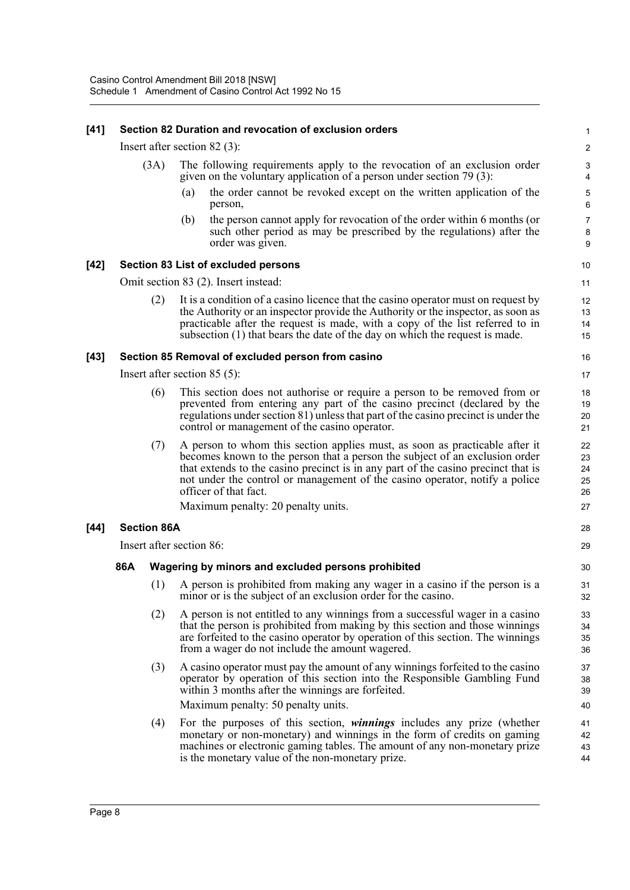### **[41] Section 82 Duration and revocation of exclusion orders**

Insert after section 82 (3):

- (3A) The following requirements apply to the revocation of an exclusion order given on the voluntary application of a person under section 79 (3):
	- (a) the order cannot be revoked except on the written application of the person,

28 29

(b) the person cannot apply for revocation of the order within 6 months (or such other period as may be prescribed by the regulations) after the order was given.

#### **[42] Section 83 List of excluded persons**

Omit section 83 (2). Insert instead:

(2) It is a condition of a casino licence that the casino operator must on request by the Authority or an inspector provide the Authority or the inspector, as soon as practicable after the request is made, with a copy of the list referred to in subsection (1) that bears the date of the day on which the request is made.

#### **[43] Section 85 Removal of excluded person from casino**

Insert after section 85 (5):

- (6) This section does not authorise or require a person to be removed from or prevented from entering any part of the casino precinct (declared by the regulations under section 81) unless that part of the casino precinct is under the control or management of the casino operator.
- (7) A person to whom this section applies must, as soon as practicable after it becomes known to the person that a person the subject of an exclusion order that extends to the casino precinct is in any part of the casino precinct that is not under the control or management of the casino operator, notify a police officer of that fact.

Maximum penalty: 20 penalty units.

#### **[44] Section 86A**

Insert after section 86:

#### **86A Wagering by minors and excluded persons prohibited**

- (1) A person is prohibited from making any wager in a casino if the person is a minor or is the subject of an exclusion order for the casino.
- (2) A person is not entitled to any winnings from a successful wager in a casino that the person is prohibited from making by this section and those winnings are forfeited to the casino operator by operation of this section. The winnings from a wager do not include the amount wagered.
- (3) A casino operator must pay the amount of any winnings forfeited to the casino operator by operation of this section into the Responsible Gambling Fund within 3 months after the winnings are forfeited. Maximum penalty: 50 penalty units.
- (4) For the purposes of this section, *winnings* includes any prize (whether monetary or non-monetary) and winnings in the form of credits on gaming machines or electronic gaming tables. The amount of any non-monetary prize is the monetary value of the non-monetary prize. 41 42 43 44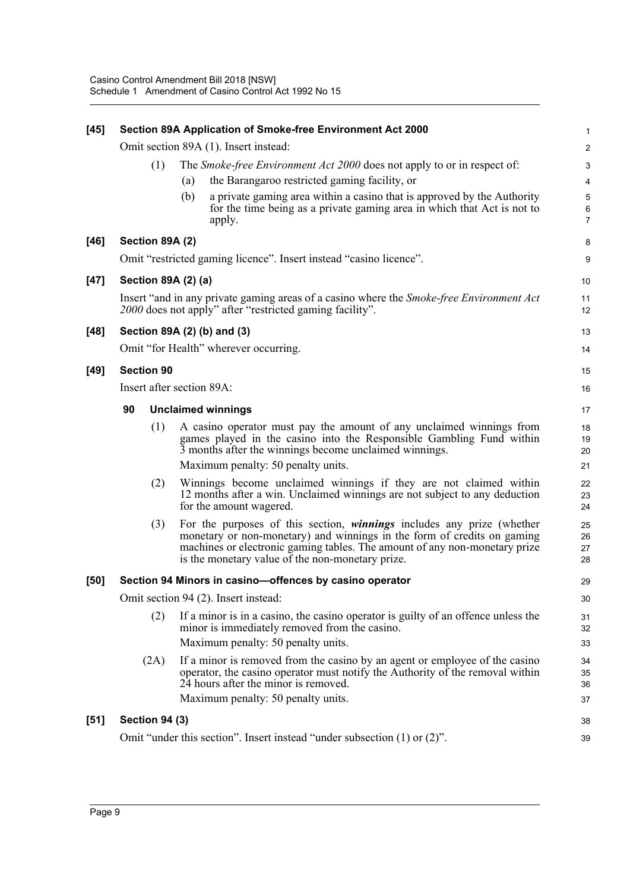| $[45]$ |                                      |     | Section 89A Application of Smoke-free Environment Act 2000                                                                                                                                                                                                                                 | 1                                        |  |  |
|--------|--------------------------------------|-----|--------------------------------------------------------------------------------------------------------------------------------------------------------------------------------------------------------------------------------------------------------------------------------------------|------------------------------------------|--|--|
|        |                                      |     | Omit section 89A (1). Insert instead:                                                                                                                                                                                                                                                      | $\overline{c}$                           |  |  |
|        | (1)                                  |     | The <i>Smoke-free Environment Act 2000</i> does not apply to or in respect of:                                                                                                                                                                                                             | 3                                        |  |  |
|        |                                      | (a) | the Barangaroo restricted gaming facility, or                                                                                                                                                                                                                                              | $\overline{4}$                           |  |  |
|        |                                      | (b) | a private gaming area within a casino that is approved by the Authority<br>for the time being as a private gaming area in which that Act is not to<br>apply.                                                                                                                               | $\,$ 5 $\,$<br>$\,6\,$<br>$\overline{7}$ |  |  |
| $[46]$ | Section 89A (2)                      |     |                                                                                                                                                                                                                                                                                            | 8                                        |  |  |
|        |                                      |     | Omit "restricted gaming licence". Insert instead "casino licence".                                                                                                                                                                                                                         | 9                                        |  |  |
| $[47]$ | Section 89A (2) (a)                  |     |                                                                                                                                                                                                                                                                                            | 10                                       |  |  |
|        |                                      |     | Insert "and in any private gaming areas of a casino where the <i>Smoke-free Environment Act</i><br>2000 does not apply" after "restricted gaming facility".                                                                                                                                | 11<br>12                                 |  |  |
| $[48]$ | Section 89A (2) (b) and (3)          |     |                                                                                                                                                                                                                                                                                            | 13                                       |  |  |
|        |                                      |     | Omit "for Health" wherever occurring.                                                                                                                                                                                                                                                      | 14                                       |  |  |
| $[49]$ | <b>Section 90</b>                    |     |                                                                                                                                                                                                                                                                                            | 15                                       |  |  |
|        | Insert after section 89A:            |     |                                                                                                                                                                                                                                                                                            | 16                                       |  |  |
|        | 90                                   |     | <b>Unclaimed winnings</b>                                                                                                                                                                                                                                                                  | 17                                       |  |  |
|        | (1)                                  |     | A casino operator must pay the amount of any unclaimed winnings from<br>games played in the casino into the Responsible Gambling Fund within<br>3 months after the winnings become unclaimed winnings.                                                                                     | 18<br>19<br>20                           |  |  |
|        |                                      |     | Maximum penalty: 50 penalty units.                                                                                                                                                                                                                                                         | 21                                       |  |  |
|        | (2)                                  |     | Winnings become unclaimed winnings if they are not claimed within<br>12 months after a win. Unclaimed winnings are not subject to any deduction<br>for the amount wagered.                                                                                                                 | 22<br>23<br>24                           |  |  |
|        | (3)                                  |     | For the purposes of this section, <i>winnings</i> includes any prize (whether<br>monetary or non-monetary) and winnings in the form of credits on gaming<br>machines or electronic gaming tables. The amount of any non-monetary prize<br>is the monetary value of the non-monetary prize. | 25<br>26<br>27<br>28                     |  |  |
| [50]   |                                      |     | Section 94 Minors in casino-offences by casino operator                                                                                                                                                                                                                                    | 29                                       |  |  |
|        | Omit section 94 (2). Insert instead: |     |                                                                                                                                                                                                                                                                                            |                                          |  |  |
|        | (2)                                  |     | If a minor is in a casino, the casino operator is guilty of an offence unless the<br>minor is immediately removed from the casino.<br>Maximum penalty: 50 penalty units.                                                                                                                   | 31<br>32<br>33                           |  |  |
|        | (2A)                                 |     | If a minor is removed from the casino by an agent or employee of the casino<br>operator, the casino operator must notify the Authority of the removal within<br>24 hours after the minor is removed.<br>Maximum penalty: 50 penalty units.                                                 | 34<br>35<br>36<br>37                     |  |  |
|        |                                      |     |                                                                                                                                                                                                                                                                                            |                                          |  |  |
| $[51]$ | <b>Section 94 (3)</b>                |     |                                                                                                                                                                                                                                                                                            | 38                                       |  |  |
|        |                                      |     | Omit "under this section". Insert instead "under subsection $(1)$ or $(2)$ ".                                                                                                                                                                                                              | 39                                       |  |  |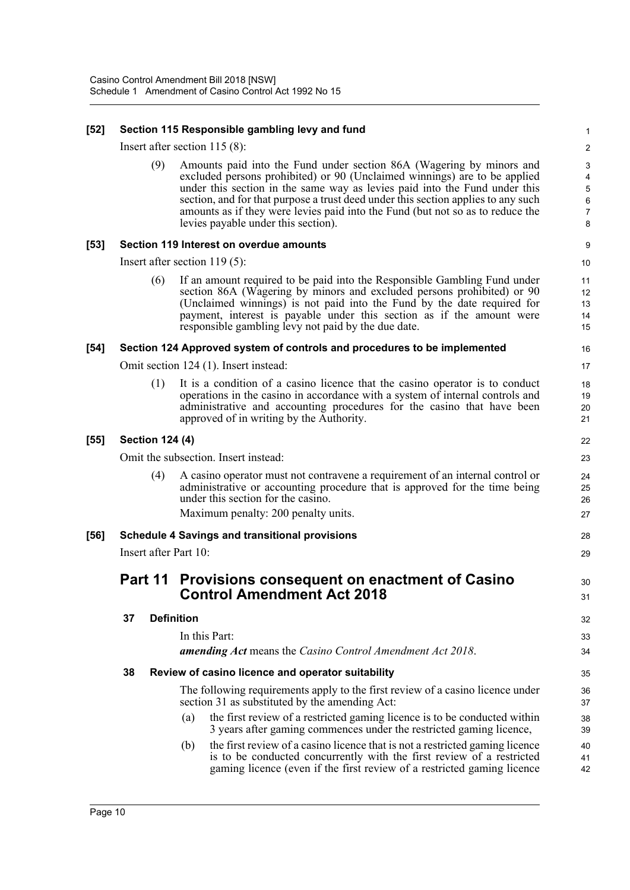### **[52] Section 115 Responsible gambling levy and fund**

Insert after section 115 (8):

(9) Amounts paid into the Fund under section 86A (Wagering by minors and excluded persons prohibited) or 90 (Unclaimed winnings) are to be applied under this section in the same way as levies paid into the Fund under this section, and for that purpose a trust deed under this section applies to any such amounts as if they were levies paid into the Fund (but not so as to reduce the levies payable under this section).

28  $20$ 

30 31

42

### **[53] Section 119 Interest on overdue amounts**

Insert after section 119 (5):

(6) If an amount required to be paid into the Responsible Gambling Fund under section 86A (Wagering by minors and excluded persons prohibited) or 90 (Unclaimed winnings) is not paid into the Fund by the date required for payment, interest is payable under this section as if the amount were responsible gambling levy not paid by the due date.

### **[54] Section 124 Approved system of controls and procedures to be implemented**

Omit section 124 (1). Insert instead:

(1) It is a condition of a casino licence that the casino operator is to conduct operations in the casino in accordance with a system of internal controls and administrative and accounting procedures for the casino that have been approved of in writing by the Authority.

### **[55] Section 124 (4)**

Omit the subsection. Insert instead:

(4) A casino operator must not contravene a requirement of an internal control or administrative or accounting procedure that is approved for the time being under this section for the casino. Maximum penalty: 200 penalty units.

### **[56] Schedule 4 Savings and transitional provisions**

Insert after Part 10:

# **Part 11 Provisions consequent on enactment of Casino Control Amendment Act 2018**

| 37 | <b>Definition</b>                                                |                                                                                                                                                       | 32       |
|----|------------------------------------------------------------------|-------------------------------------------------------------------------------------------------------------------------------------------------------|----------|
|    | In this Part:                                                    |                                                                                                                                                       | 33       |
|    | <b>amending Act</b> means the Casino Control Amendment Act 2018. |                                                                                                                                                       | 34       |
| 38 | Review of casino licence and operator suitability                |                                                                                                                                                       | 35       |
|    | section 31 as substituted by the amending Act:                   | The following requirements apply to the first review of a casino licence under                                                                        | 36<br>37 |
|    | (a)                                                              | the first review of a restricted gaming licence is to be conducted within<br>3 years after gaming commences under the restricted gaming licence,      | 38<br>39 |
|    | (b)                                                              | the first review of a casino licence that is not a restricted gaming licence<br>is to be conducted concurrently with the first review of a restricted | 40<br>41 |

gaming licence (even if the first review of a restricted gaming licence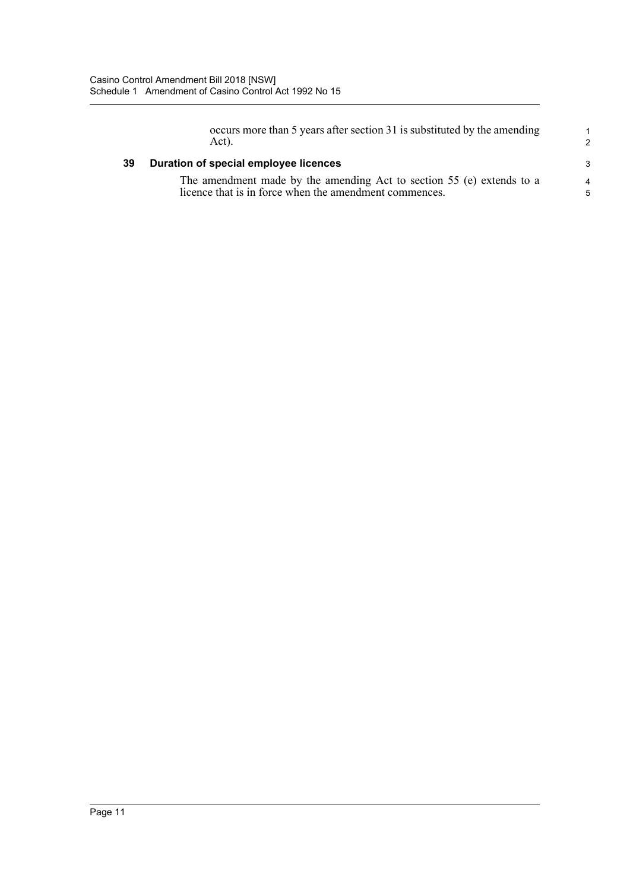occurs more than 5 years after section 31 is substituted by the amending Act).

1 2

3 4 5

### **39 Duration of special employee licences**

The amendment made by the amending Act to section 55 (e) extends to a licence that is in force when the amendment commences.